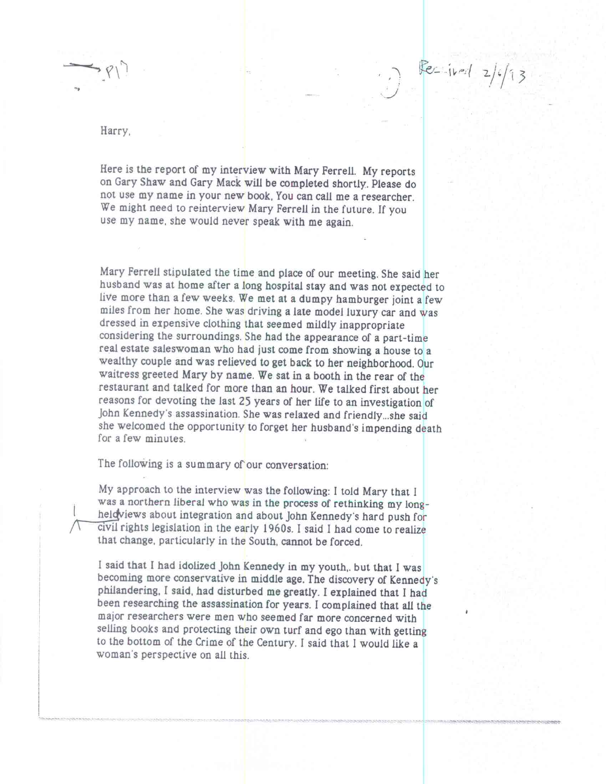Harry,

Here is the report of my interview with Mary Ferrell. My reports on Gary Shaw and Gary Mack will be completed shortly. Please do not use my name in your new book, You can call me a researcher. We might need to reinterview Mary Ferrell in the future. If you use my name. she would never speak with me again.

 $Re= 11rd$   $2/6/13$ 

Mary Ferrell stipulated the time and place of our meeting. She said her husband was at home after a long hospital stay and was not expected to live more than a few weeks. We met at a dumpy hamburger joint a few miles from her home. She was driving a late model luxury car and was dressed in expensive clothing that seemed mildly inappropriate considering the surroundings. She had the appearance of a part-time real estate saleswoman who had just come from showing a house to a wealthy couple and was relieved to get back to her neighborhood. Our waitress greeted Mary by name. We sat in a booth in the rear of the restaurant and talked for more than an hour. We talked first about her reasons for devoting the last 25 years of her life to an investigation of John Kennedy's assassination. She was relaxed and friendly...she said she welcomed the opportunity to forget her husband's impending death for a few minutes.

The following is a summary of our conversation:

My approach to the interview was the following: I told Mary that I was a northern liberal who was in the process of rethinking my longheldviews about integration and about John Kennedy's hard push for civil rights legislation in the early 1960s. I said I had come to realize that change, particularly in the South, cannot be forced.

I said that I had idolized John Kennedy in my youth,. but that 1 was becoming more conservative in middle age. The discovery of Kennedy's <sup>p</sup>hilandering, I said, had disturbed me greatly. I explained that I had been researching the assassination for years. I complained that all the major researchers were men who seemed far more concerned with selling books and protecting their own turf and ego than with getting to the bottom of the Crime of the Century. I said that I would like a woman's perspective on all this.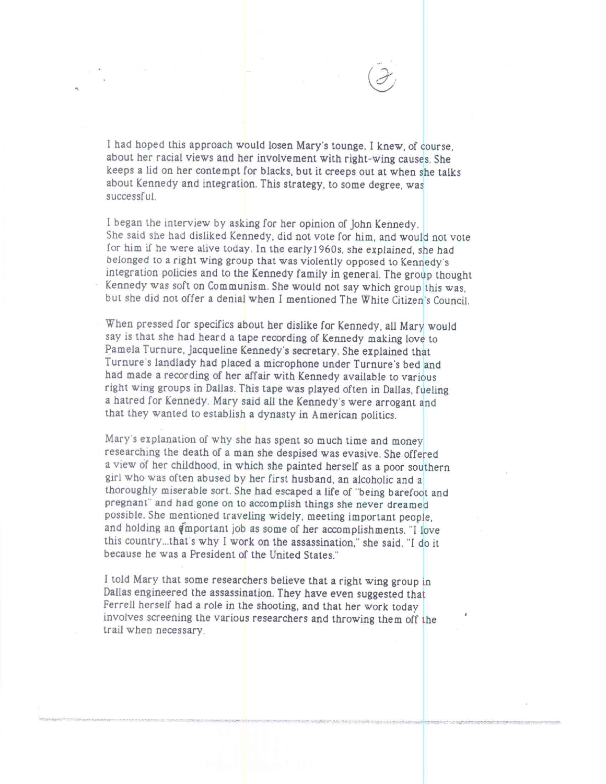I had hoped this approach would losen Mary's tounge. I knew, of course, about her racial views and her involvement with right-wing causes. She keeps a lid on her contempt for blacks, but it creeps out at when she talks about Kennedy and integration. This strategy, to some degree, was successful.

I began the interview by asking for her opinion of John Kennedy. She said she had disliked Kennedy, did not vote for him, and would not vote for him if he were alive today. In the early1960s, she explained, she had belonged to a right wing group that was violently opposed to Kennedy's integration policies and to the Kennedy family in general. The group thought Kennedy was soft on Communism. She would not say which group this was, but she did not offer a denial when I mentioned The White Citizen's Council.

When pressed for specifics about her dislike for Kennedy, all Mary would say is that she had heard a tape recording of Kennedy making love to Pamela Turnure, Jacqueline Kennedy's secretary. She explained that Turnure's landlady had placed a microphone under Turnure's bed and had made a recording of her affair with Kennedy available to various right wing groups in Dallas. This tape was played often in Dallas, fueling a hatred for Kennedy. Mary said all the Kennedy's were arrogant and that they wanted to establish a dynasty in American politics.

Mary's explanation of why she has spent so much time and money researching the death of a man she despised was evasive. She offered a view of her childhood, in which she painted herself as a poor southern <sup>g</sup>irl who was often abused by her first husband, an alcoholic and a thoroughly miserable sort. She had escaped a life of "being barefoot and pregnant" and had gone on to accomplish things she never dreamed possible. She mentioned traveling widely, meeting important people, and holding an  $\dim$  portant job as some of her accomplishments. "I love this country...that's why I work on the assassination," she said. "I do it because he was a President of the United States."

I told Mary that some researchers believe that a right wing group in Dallas engineered the assassination. They have even suggested that Ferrell herself had a role in the shooting, and that her work today involves screening the various researchers and throwing them off the trail when necessary.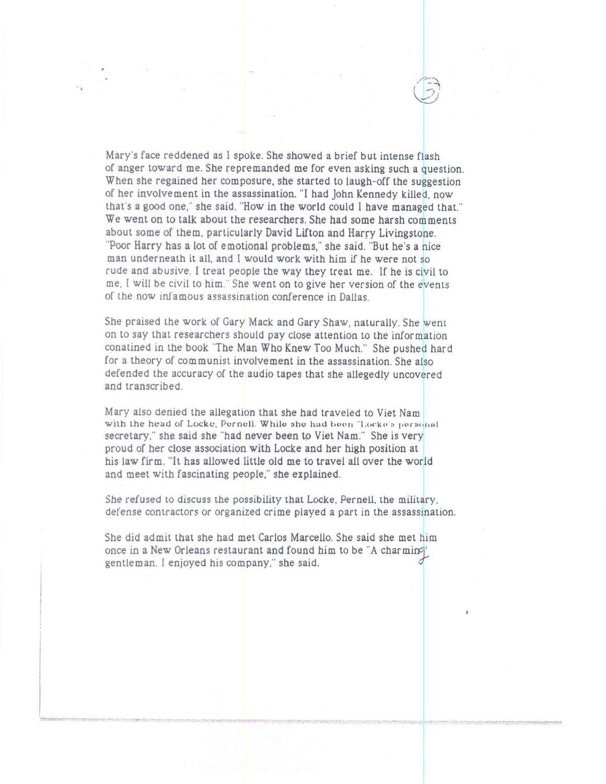Mary's face reddened as I spoke. She showed a brief but intense flash of anger toward me. She repremanded me for even asking such a question. When she regained her composure, she started to laugh-off the suggestion of her involvement in the assassination. "1 had John Kennedy killed, now that's a good one," she said. "How in the world could I have managed that." We went on to talk about the researchers. She had some harsh comments about some of them, particularly David Lifton and Harry Livingstone. "Poor Harry has a lot of emotional problems," she said. "But he's a nice man underneath it all, and I would work with him if he were not so rude and abusive. I treat people the way they treat me. If he is civil to me, I will be civil to him." She went on to give her version of the events of the now infamous assassination conference in Dallas.

She praised the work of Gary Mack and Gary Shaw, naturally. She went on to say that researchers should pay close attention to the information conatined in the book "The Man Who Knew Too Much." She pushed hard for a theory of communist involvement in the assassination. She also defended the accuracy of the audio tapes that she allegedly uncovered and transcribed.

Mary also denied the allegation that she had traveled to Viet Nam with the head of Locke, Pernell. While she had hoon 'Locke's personal secretary," she said she "had never been to Viet Nam." She is very proud of her close association with Locke and her high position at his law firm. "It has allowed little old me to travel all over the world and meet with fascinating people," she explained.

She *refused* to discuss the possibility that Locke, Pernell, the military, defense contractors or organized crime played a part in the assassination.

She did admit that she had met Carlos Marcello. She said she met him once in a New Orleans restaurant and found him to be "A charming" gentleman. I enjoyed his company," she said.